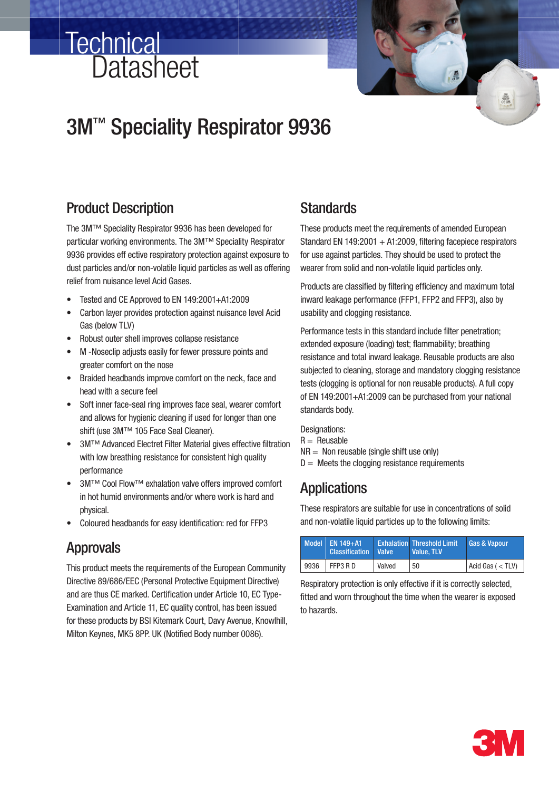# 3M<sup>™</sup> Speciality Respirator 9936

# Product Description

**Datasheet** 

**Technical** 

The 3M™ Speciality Respirator 9936 has been developed for particular working environments. The 3M™ Speciality Respirator 9936 provides eff ective respiratory protection against exposure to dust particles and/or non-volatile liquid particles as well as offering relief from nuisance level Acid Gases.

- Tested and CE Approved to EN 149:2001+A1:2009
- Carbon layer provides protection against nuisance level Acid Gas (below TLV)
- Robust outer shell improves collapse resistance
- M -Noseclip adjusts easily for fewer pressure points and greater comfort on the nose
- Braided headbands improve comfort on the neck, face and head with a secure feel
- Soft inner face-seal ring improves face seal, wearer comfort and allows for hygienic cleaning if used for longer than one shift (use 3M™ 105 Face Seal Cleaner).
- 3M™ Advanced Electret Filter Material gives effective filtration with low breathing resistance for consistent high quality performance
- 3M™ Cool Flow™ exhalation valve offers improved comfort in hot humid environments and/or where work is hard and physical.
- Coloured headbands for easy identification: red for FFP3

### Approvals

This product meets the requirements of the European Community Directive 89/686/EEC (Personal Protective Equipment Directive) and are thus CE marked. Certification under Article 10, EC Type-Examination and Article 11, EC quality control, has been issued for these products by BSI Kitemark Court, Davy Avenue, Knowlhill, Milton Keynes, MK5 8PP. UK (Notified Body number 0086).

### **Standards**

These products meet the requirements of amended European Standard EN 149:2001 + A1:2009, filtering facepiece respirators for use against particles. They should be used to protect the wearer from solid and non-volatile liquid particles only.

Products are classified by filtering efficiency and maximum total inward leakage performance (FFP1, FFP2 and FFP3), also by usability and clogging resistance.

Performance tests in this standard include filter penetration; extended exposure (loading) test; flammability; breathing resistance and total inward leakage. Reusable products are also subjected to cleaning, storage and mandatory clogging resistance tests (clogging is optional for non reusable products). A full copy of EN 149:2001+A1:2009 can be purchased from your national standards body.

Designations:  $R =$  Reusable  $NR = Non reusable (single shift use only)$  $D =$  Meets the clogging resistance requirements

### **Applications**

These respirators are suitable for use in concentrations of solid and non-volatile liquid particles up to the following limits:

|      | Model $\vert$ EN 149+A1.<br><b>Classification</b> | <b>Valve</b> | <b>Exhalation Threshold Limit</b><br>Value. TLV | <b>Gas &amp; Vapour</b> |
|------|---------------------------------------------------|--------------|-------------------------------------------------|-------------------------|
| 9936 | FFP3 RD                                           | Valved       | 50                                              | $ $ Acid Gas ( $<$ TLV) |

Respiratory protection is only effective if it is correctly selected, fitted and worn throughout the time when the wearer is exposed to hazards.

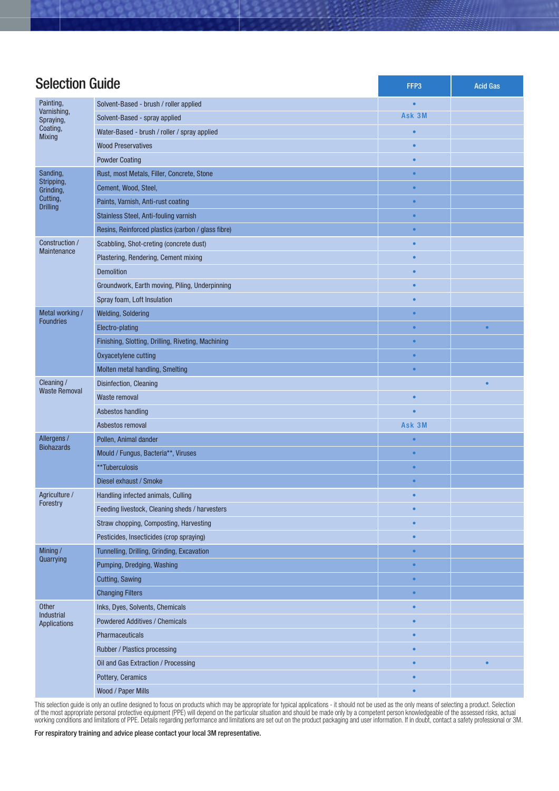| <b>Selection Guide</b>                                             |                                                    | FFP3      | <b>Acid Gas</b> |
|--------------------------------------------------------------------|----------------------------------------------------|-----------|-----------------|
| Painting,                                                          | Solvent-Based - brush / roller applied             |           |                 |
| Varnishing,<br>Spraying,<br>Coating,<br><b>Mixing</b>              | Solvent-Based - spray applied                      | Ask 3M    |                 |
|                                                                    | Water-Based - brush / roller / spray applied       |           |                 |
|                                                                    | <b>Wood Preservatives</b>                          |           |                 |
|                                                                    | <b>Powder Coating</b>                              |           |                 |
| Sanding,<br>Stripping,<br>Grinding,<br>Cutting,<br><b>Drilling</b> | Rust, most Metals, Filler, Concrete, Stone         | $\bullet$ |                 |
|                                                                    | Cement, Wood, Steel,                               | $\bullet$ |                 |
|                                                                    | Paints, Varnish, Anti-rust coating                 | $\bullet$ |                 |
|                                                                    | Stainless Steel, Anti-fouling varnish              | $\bullet$ |                 |
|                                                                    | Resins, Reinforced plastics (carbon / glass fibre) | $\bullet$ |                 |
| Construction /<br>Maintenance                                      | Scabbling, Shot-creting (concrete dust)            | $\bullet$ |                 |
|                                                                    | Plastering, Rendering, Cement mixing               |           |                 |
|                                                                    | <b>Demolition</b>                                  |           |                 |
|                                                                    | Groundwork, Earth moving, Piling, Underpinning     | $\bullet$ |                 |
|                                                                    | Spray foam, Loft Insulation                        | $\bullet$ |                 |
| Metal working /                                                    | <b>Welding, Soldering</b>                          | $\bullet$ |                 |
| <b>Foundries</b>                                                   | Electro-plating                                    | ċ         | $\bullet$       |
|                                                                    | Finishing, Slotting, Drilling, Riveting, Machining | $\bullet$ |                 |
|                                                                    | Oxyacetylene cutting                               | $\bullet$ |                 |
|                                                                    | Molten metal handling, Smelting                    | $\bullet$ |                 |
| Cleaning /                                                         | Disinfection, Cleaning                             |           | $\bullet$       |
| <b>Waste Removal</b>                                               | Waste removal                                      | $\bullet$ |                 |
|                                                                    | Asbestos handling                                  |           |                 |
|                                                                    | Asbestos removal                                   | Ask 3M    |                 |
| Allergens /<br><b>Biohazards</b>                                   | Pollen, Animal dander                              |           |                 |
|                                                                    | Mould / Fungus, Bacteria**, Viruses                | $\bullet$ |                 |
|                                                                    | **Tuberculosis                                     | $\bullet$ |                 |
|                                                                    | Diesel exhaust / Smoke                             | ٠         |                 |
| Agriculture /<br>Forestry                                          | Handling infected animals, Culling                 |           |                 |
|                                                                    | Feeding livestock, Cleaning sheds / harvesters     | $\bullet$ |                 |
|                                                                    | Straw chopping, Composting, Harvesting             | $\bullet$ |                 |
|                                                                    | Pesticides, Insecticides (crop spraying)           | $\bullet$ |                 |
| Mining/<br>Quarrying                                               | Tunnelling, Drilling, Grinding, Excavation         | $\bullet$ |                 |
|                                                                    | Pumping, Dredging, Washing                         | $\bullet$ |                 |
|                                                                    | <b>Cutting, Sawing</b>                             | $\bullet$ |                 |
|                                                                    | <b>Changing Filters</b>                            | $\bullet$ |                 |
| Other                                                              | Inks, Dyes, Solvents, Chemicals                    | $\bullet$ |                 |
| Industrial<br>Applications                                         | <b>Powdered Additives / Chemicals</b>              | $\bullet$ |                 |
|                                                                    | Pharmaceuticals                                    | $\bullet$ |                 |
|                                                                    | Rubber / Plastics processing                       | $\bullet$ |                 |
|                                                                    | Oil and Gas Extraction / Processing                | $\bullet$ | $\bullet$       |
|                                                                    | Pottery, Ceramics                                  | $\bullet$ |                 |
|                                                                    | Wood / Paper Mills                                 | $\bullet$ |                 |

This selection guide is only an outline designed to focus on products which may be appropriate for typical applications - it should not be used as the only means of selecting a product. Selection of the most appropriate personal protective equipment (PPE) will depend on the particular situation and should be made only by a competent person knowledgeable of the assessed risks, actual working conditions and limitations of PPE. Details regarding performance and limitations are set out on the product packaging and user information. If in doubt, contact a safety professional or 3M.

For respiratory training and advice please contact your local 3M representative.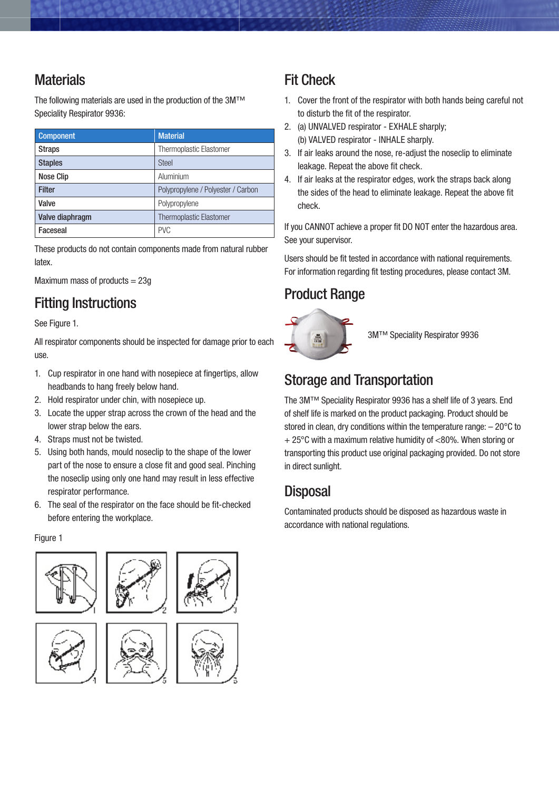# **Materials**

The following materials are used in the production of the 3M™ Speciality Respirator 9936:

| <b>Component</b> | <b>Material</b>                    |  |
|------------------|------------------------------------|--|
| <b>Straps</b>    | <b>Thermoplastic Elastomer</b>     |  |
| <b>Staples</b>   | <b>Steel</b>                       |  |
| <b>Nose Clip</b> | Aluminium                          |  |
| <b>Filter</b>    | Polypropylene / Polyester / Carbon |  |
| Valve            | Polypropylene                      |  |
| Valve diaphragm  | <b>Thermoplastic Elastomer</b>     |  |
| Faceseal         | <b>PVC</b>                         |  |

These products do not contain components made from natural rubber latex.

Maximum mass of products  $= 23g$ 

# Fitting Instructions

See Figure 1.

All respirator components should be inspected for damage prior to each use.

- 1. Cup respirator in one hand with nosepiece at fingertips, allow headbands to hang freely below hand.
- 2. Hold respirator under chin, with nosepiece up.
- 3. Locate the upper strap across the crown of the head and the lower strap below the ears.
- 4. Straps must not be twisted.
- 5. Using both hands, mould noseclip to the shape of the lower part of the nose to ensure a close fit and good seal. Pinching the noseclip using only one hand may result in less effective respirator performance.
- 6. The seal of the respirator on the face should be fit-checked before entering the workplace.

#### Figure 1







# Fit Check

- 1. Cover the front of the respirator with both hands being careful not to disturb the fit of the respirator.
- 2. (a) UNVALVED respirator EXHALE sharply; (b) VALVED respirator - INHALE sharply.
- 3. If air leaks around the nose, re-adjust the noseclip to eliminate leakage. Repeat the above fit check.
- 4. If air leaks at the respirator edges, work the straps back along the sides of the head to eliminate leakage. Repeat the above fit check.

If you CANNOT achieve a proper fit DO NOT enter the hazardous area. See your supervisor.

Users should be fit tested in accordance with national requirements. For information regarding fit testing procedures, please contact 3M.

### Product Range



3M™ Speciality Respirator 9936

# Storage and Transportation

The 3M™ Speciality Respirator 9936 has a shelf life of 3 years. End of shelf life is marked on the product packaging. Product should be stored in clean, dry conditions within the temperature range: – 20°C to + 25°C with a maximum relative humidity of <80%. When storing or transporting this product use original packaging provided. Do not store in direct sunlight.

# **Disposal**

Contaminated products should be disposed as hazardous waste in accordance with national regulations.